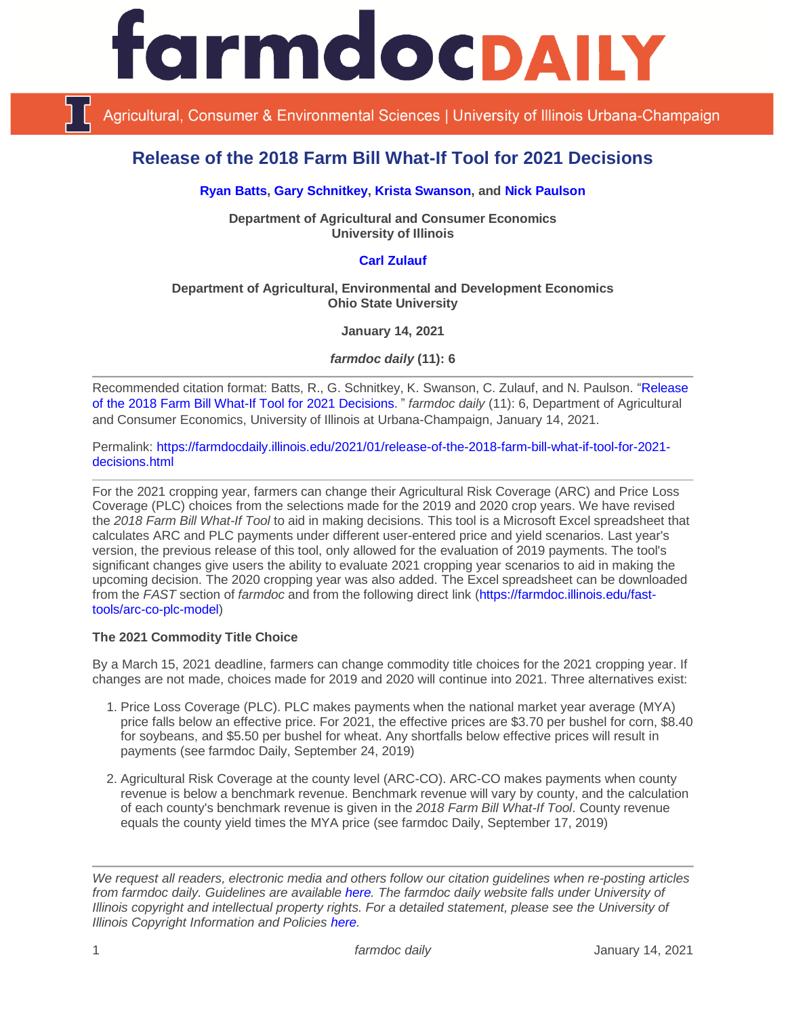# IrmdocDAILY

Agricultural, Consumer & Environmental Sciences | University of Illinois Urbana-Champaign

# **Release of the 2018 Farm Bill What-If Tool for 2021 Decisions**

#### **[Ryan Batts,](https://ace.illinois.edu/directory/batts) [Gary Schnitkey,](https://ace.illinois.edu/directory/schnitke) [Krista Swanson,](https://ace.illinois.edu/directory/krista) and [Nick Paulson](https://ace.illinois.edu/directory/npaulson)**

**Department of Agricultural and Consumer Economics University of Illinois**

## **[Carl Zulauf](http://aede.osu.edu/our-people/carl-zulauf)**

#### **Department of Agricultural, Environmental and Development Economics Ohio State University**

**January 14, 2021**

*farmdoc daily* **(11): 6**

Recommended citation format: Batts, R., G. Schnitkey, K. Swanson, C. Zulauf, and N. Paulson. ["Release](https://farmdocdaily.illinois.edu/2021/01/release-of-the-2018-farm-bill-what-if-tool-for-2021-decisions.html)  [of the 2018 Farm Bill What-If Tool for 2021 Decisions](https://farmdocdaily.illinois.edu/2021/01/release-of-the-2018-farm-bill-what-if-tool-for-2021-decisions.html)." *farmdoc daily* (11): 6, Department of Agricultural and Consumer Economics, University of Illinois at Urbana-Champaign, January 14, 2021.

Permalink: [https://farmdocdaily.illinois.edu/2021/01/release-of-the-2018-farm-bill-what-if-tool-for-2021](https://farmdocdaily.illinois.edu/2021/01/release-of-the-2018-farm-bill-what-if-tool-for-2021-decisions.html) [decisions.html](https://farmdocdaily.illinois.edu/2021/01/release-of-the-2018-farm-bill-what-if-tool-for-2021-decisions.html)

For the 2021 cropping year, farmers can change their Agricultural Risk Coverage (ARC) and Price Loss Coverage (PLC) choices from the selections made for the 2019 and 2020 crop years. We have revised the *2018 Farm Bill What-If Tool* to aid in making decisions. This tool is a Microsoft Excel spreadsheet that calculates ARC and PLC payments under different user-entered price and yield scenarios. Last year's version, the previous release of this tool, only allowed for the evaluation of 2019 payments. The tool's significant changes give users the ability to evaluate 2021 cropping year scenarios to aid in making the upcoming decision. The 2020 cropping year was also added. The Excel spreadsheet can be downloaded from the *FAST* section of *farmdoc* and from the following direct link [\(https://farmdoc.illinois.edu/fast](https://farmdoc.illinois.edu/fast-tools/arc-co-plc-model)[tools/arc-co-plc-model\)](https://farmdoc.illinois.edu/fast-tools/arc-co-plc-model)

#### **The 2021 Commodity Title Choice**

By a March 15, 2021 deadline, farmers can change commodity title choices for the 2021 cropping year. If changes are not made, choices made for 2019 and 2020 will continue into 2021. Three alternatives exist:

- 1. Price Loss Coverage (PLC). PLC makes payments when the national market year average (MYA) price falls below an effective price. For 2021, the effective prices are \$3.70 per bushel for corn, \$8.40 for soybeans, and \$5.50 per bushel for wheat. Any shortfalls below effective prices will result in payments (see farmdoc Daily, September 24, 2019)
- 2. Agricultural Risk Coverage at the county level (ARC-CO). ARC-CO makes payments when county revenue is below a benchmark revenue. Benchmark revenue will vary by county, and the calculation of each county's benchmark revenue is given in the *2018 Farm Bill What-If Tool*. County revenue equals the county yield times the MYA price (see farmdoc Daily, September 17, 2019)

*We request all readers, electronic media and others follow our citation guidelines when re-posting articles from farmdoc daily. Guidelines are available [here.](http://farmdocdaily.illinois.edu/citationguide.html) The farmdoc daily website falls under University of Illinois copyright and intellectual property rights. For a detailed statement, please see the University of Illinois Copyright Information and Policies [here.](http://www.cio.illinois.edu/policies/copyright/)*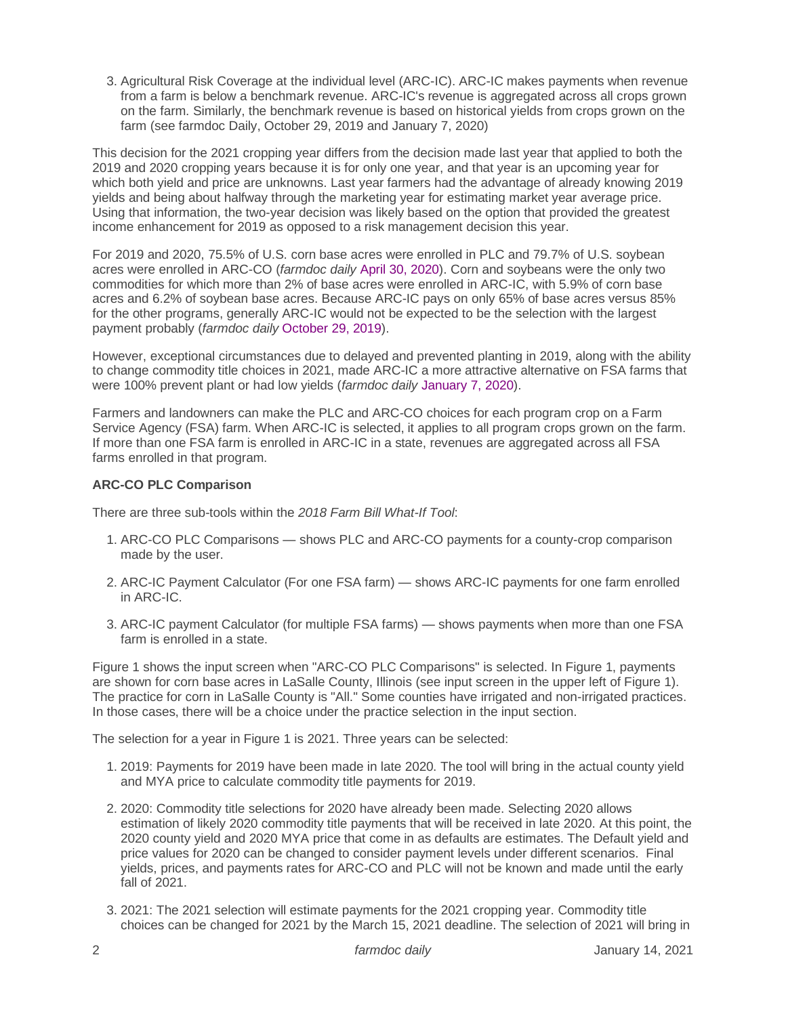3. Agricultural Risk Coverage at the individual level (ARC-IC). ARC-IC makes payments when revenue from a farm is below a benchmark revenue. ARC-IC's revenue is aggregated across all crops grown on the farm. Similarly, the benchmark revenue is based on historical yields from crops grown on the farm (see farmdoc Daily, October 29, 2019 and January 7, 2020)

This decision for the 2021 cropping year differs from the decision made last year that applied to both the 2019 and 2020 cropping years because it is for only one year, and that year is an upcoming year for which both yield and price are unknowns. Last year farmers had the advantage of already knowing 2019 yields and being about halfway through the marketing year for estimating market year average price. Using that information, the two-year decision was likely based on the option that provided the greatest income enhancement for 2019 as opposed to a risk management decision this year.

For 2019 and 2020, 75.5% of U.S. corn base acres were enrolled in PLC and 79.7% of U.S. soybean acres were enrolled in ARC-CO (*farmdoc daily* [April 30, 2020\)](https://farmdocdaily.illinois.edu/2020/04/farm-program-update-arc-plc-enrollment.html). Corn and soybeans were the only two commodities for which more than 2% of base acres were enrolled in ARC-IC, with 5.9% of corn base acres and 6.2% of soybean base acres. Because ARC-IC pays on only 65% of base acres versus 85% for the other programs, generally ARC-IC would not be expected to be the selection with the largest payment probably (*farmdoc daily* [October 29, 2019\)](https://farmdocdaily.illinois.edu/2019/10/the-case-for-looking-at-the-arc-ic-arc-individual-program-option.html).

However, exceptional circumstances due to delayed and prevented planting in 2019, along with the ability to change commodity title choices in 2021, made ARC-IC a more attractive alternative on FSA farms that were 100% prevent plant or had low yields (*farmdoc daily* [January 7, 2020\)](https://farmdocdaily.illinois.edu/2020/01/arc-ic-in-2019-release-of-a-2019-arc-ic-payment-calculator.html).

Farmers and landowners can make the PLC and ARC-CO choices for each program crop on a Farm Service Agency (FSA) farm. When ARC-IC is selected, it applies to all program crops grown on the farm. If more than one FSA farm is enrolled in ARC-IC in a state, revenues are aggregated across all FSA farms enrolled in that program.

## **ARC-CO PLC Comparison**

There are three sub-tools within the *2018 Farm Bill What-If Tool*:

- 1. ARC-CO PLC Comparisons shows PLC and ARC-CO payments for a county-crop comparison made by the user.
- 2. ARC-IC Payment Calculator (For one FSA farm) shows ARC-IC payments for one farm enrolled in ARC-IC.
- 3. ARC-IC payment Calculator (for multiple FSA farms) shows payments when more than one FSA farm is enrolled in a state.

Figure 1 shows the input screen when "ARC-CO PLC Comparisons" is selected. In Figure 1, payments are shown for corn base acres in LaSalle County, Illinois (see input screen in the upper left of Figure 1). The practice for corn in LaSalle County is "All." Some counties have irrigated and non-irrigated practices. In those cases, there will be a choice under the practice selection in the input section.

The selection for a year in Figure 1 is 2021. Three years can be selected:

- 1. 2019: Payments for 2019 have been made in late 2020. The tool will bring in the actual county yield and MYA price to calculate commodity title payments for 2019.
- 2. 2020: Commodity title selections for 2020 have already been made. Selecting 2020 allows estimation of likely 2020 commodity title payments that will be received in late 2020. At this point, the 2020 county yield and 2020 MYA price that come in as defaults are estimates. The Default yield and price values for 2020 can be changed to consider payment levels under different scenarios. Final yields, prices, and payments rates for ARC-CO and PLC will not be known and made until the early fall of 2021.
- 3. 2021: The 2021 selection will estimate payments for the 2021 cropping year. Commodity title choices can be changed for 2021 by the March 15, 2021 deadline. The selection of 2021 will bring in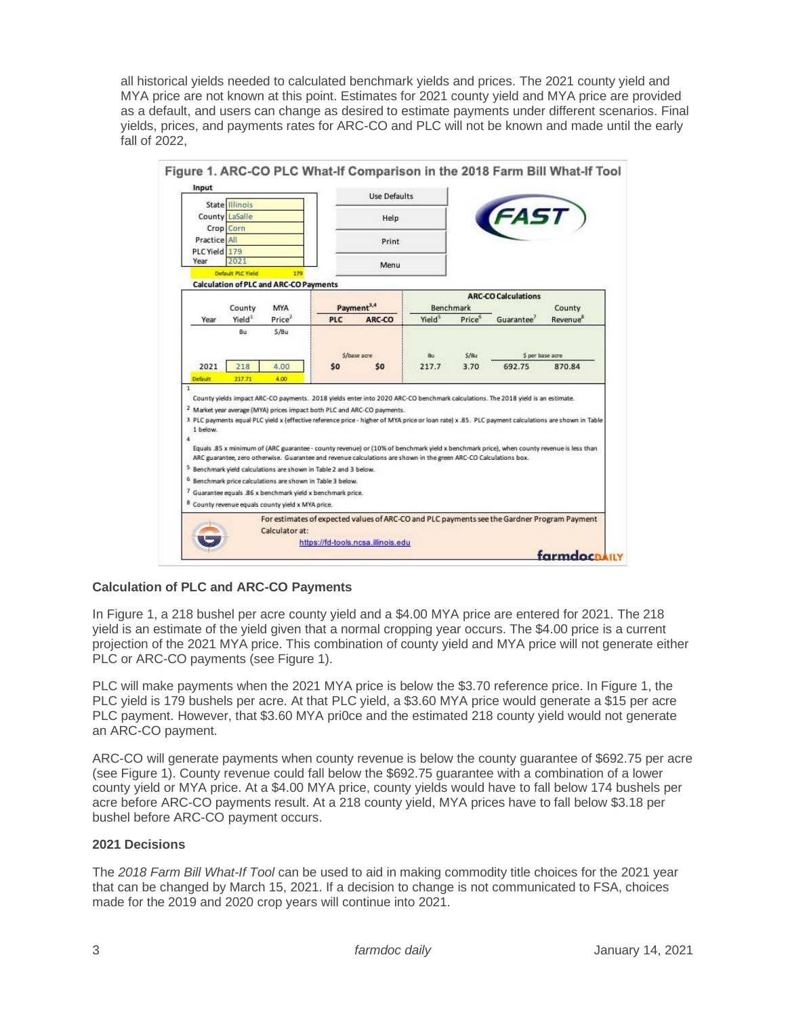all historical yields needed to calculated benchmark yields and prices. The 2021 county yield and MYA price are not known at this point. Estimates for 2021 county yield and MYA price are provided as a default, and users can change as desired to estimate payments under different scenarios. Final yields, prices, and payments rates for ARC-CO and PLC will not be known and made until the early fall of 2022,

|                          | State Illinois               |                                                                                                                                                                                                                     |                        | <b>Use Defaults</b>                                                                                               |                    |        |                                                                                                                                                                                                                                                                                       |                                |
|--------------------------|------------------------------|---------------------------------------------------------------------------------------------------------------------------------------------------------------------------------------------------------------------|------------------------|-------------------------------------------------------------------------------------------------------------------|--------------------|--------|---------------------------------------------------------------------------------------------------------------------------------------------------------------------------------------------------------------------------------------------------------------------------------------|--------------------------------|
|                          | County LaSalle               |                                                                                                                                                                                                                     | Help                   |                                                                                                                   |                    |        | <b>AST</b>                                                                                                                                                                                                                                                                            |                                |
|                          | Crop Corn                    |                                                                                                                                                                                                                     |                        |                                                                                                                   |                    |        |                                                                                                                                                                                                                                                                                       |                                |
| Practice All             | PLC Yield 179<br>2021        |                                                                                                                                                                                                                     | Print                  |                                                                                                                   |                    |        |                                                                                                                                                                                                                                                                                       |                                |
| Year                     |                              |                                                                                                                                                                                                                     |                        |                                                                                                                   |                    |        |                                                                                                                                                                                                                                                                                       |                                |
| Default PLC Yield<br>179 |                              |                                                                                                                                                                                                                     |                        | Menu                                                                                                              |                    |        |                                                                                                                                                                                                                                                                                       |                                |
|                          |                              | <b>Calculation of PLC and ARC-CO Payments</b>                                                                                                                                                                       |                        |                                                                                                                   |                    |        |                                                                                                                                                                                                                                                                                       |                                |
|                          |                              |                                                                                                                                                                                                                     | Payment <sup>3,4</sup> |                                                                                                                   | Benchmark          |        | <b>ARC-CO Calculations</b>                                                                                                                                                                                                                                                            |                                |
| Year                     | County<br>Yield <sup>1</sup> | MYA<br>Price <sup>2</sup>                                                                                                                                                                                           | PLC                    | ARC-CO                                                                                                            | Yield <sup>5</sup> | Price® | Guarantee'                                                                                                                                                                                                                                                                            | County<br>Revenue <sup>8</sup> |
|                          | Rar                          | S/Bu                                                                                                                                                                                                                |                        |                                                                                                                   |                    |        |                                                                                                                                                                                                                                                                                       |                                |
|                          |                              |                                                                                                                                                                                                                     |                        |                                                                                                                   |                    |        |                                                                                                                                                                                                                                                                                       |                                |
|                          |                              |                                                                                                                                                                                                                     |                        | \$/base acre                                                                                                      |                    | 5/Bu   | \$ per base acre                                                                                                                                                                                                                                                                      |                                |
| 2021                     | 218                          | 4.00                                                                                                                                                                                                                | \$0                    | <b>SO</b>                                                                                                         | 217.7              | 3.70   | 692.75                                                                                                                                                                                                                                                                                | 870.84                         |
| Default<br>$\mathbf{1}$  | 217.71                       | 4.00                                                                                                                                                                                                                |                        |                                                                                                                   |                    |        |                                                                                                                                                                                                                                                                                       |                                |
|                          |                              |                                                                                                                                                                                                                     |                        | <sup>2</sup> Market year average (MYA) prices impact both PLC and ARC-CO payments.                                |                    |        | County yields impact ARC-CO payments. 2018 yields enter into 2020 ARC-CO benchmark calculations. The 2018 yield is an estimate.<br>3 PLC payments equal PLC yield x (effective reference price - higher of MYA price or loan rate) x .85. PLC payment calculations are shown in Table |                                |
| 1 below.<br>ä            |                              | <sup>5</sup> Benchmark yield calculations are shown in Table 2 and 3 below.<br><sup>6</sup> Benchmark price calculations are shown in Table 3 below.<br>7 Guarantee equals .86 x benchmark yield x benchmark price. |                        | ARC guarantee, zero otherwise. Guarantee and revenue calculations are shown in the green ARC-CO Calculations box. |                    |        | Equals .85 x minimum of (ARC guarantee - county revenue) or (10% of benchmark yield x benchmark price), when county revenue is less than                                                                                                                                              |                                |
|                          |                              | 8 County revenue equals county yield x MYA price.                                                                                                                                                                   |                        |                                                                                                                   |                    |        | For estimates of expected values of ARC-CO and PLC payments see the Gardner Program Payment                                                                                                                                                                                           |                                |

#### **Calculation of PLC and ARC-CO Payments**

In Figure 1, a 218 bushel per acre county yield and a \$4.00 MYA price are entered for 2021. The 218 yield is an estimate of the yield given that a normal cropping year occurs. The \$4.00 price is a current projection of the 2021 MYA price. This combination of county yield and MYA price will not generate either PLC or ARC-CO payments (see Figure 1).

PLC will make payments when the 2021 MYA price is below the \$3.70 reference price. In Figure 1, the PLC yield is 179 bushels per acre. At that PLC yield, a \$3.60 MYA price would generate a \$15 per acre PLC payment. However, that \$3.60 MYA pri0ce and the estimated 218 county yield would not generate an ARC-CO payment.

ARC-CO will generate payments when county revenue is below the county guarantee of \$692.75 per acre (see Figure 1). County revenue could fall below the \$692.75 guarantee with a combination of a lower county yield or MYA price. At a \$4.00 MYA price, county yields would have to fall below 174 bushels per acre before ARC-CO payments result. At a 218 county yield, MYA prices have to fall below \$3.18 per bushel before ARC-CO payment occurs.

#### **2021 Decisions**

The *2018 Farm Bill What-If Tool* can be used to aid in making commodity title choices for the 2021 year that can be changed by March 15, 2021. If a decision to change is not communicated to FSA, choices made for the 2019 and 2020 crop years will continue into 2021.